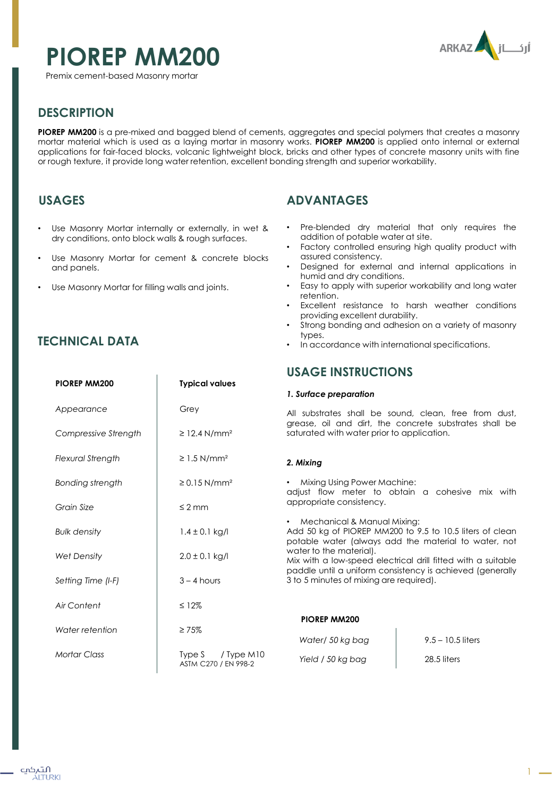# **PIOREP MM200**

Premix cement-based Masonry mortar



## **DESCRIPTION**

**PIOREP MM200** is a pre-mixed and bagged blend of cements, aggregates and special polymers that creates a masonry mortar material which is used as a laying mortar in masonry works. **PIOREP MM200** is applied onto internal or external applications for fair-faced blocks, volcanic lightweight block, bricks and other types of concrete masonry units with fine or rough texture, it provide long water retention, excellent bonding strength and superior workability.

## **USAGES**

- Use Masonry Mortar internally or externally, in wet & dry conditions, onto block walls & rough surfaces.
- Use Masonry Mortar for cement & concrete blocks and panels.
- Use Masonry Mortar for filling walls and joints.

**PIOREP MM200 Typical values**

Grey

≥ 12.4 N/mm²

 $\geq 1.5$  N/mm<sup>2</sup>

≥ 0.15 N/mm²

## **ADVANTAGES**

- Pre-blended dry material that only requires the addition of potable water at site.
- Factory controlled ensuring high quality product with assured consistency.
- Designed for external and internal applications in humid and dry conditions.
- Easy to apply with superior workability and long water retention.
- Excellent resistance to harsh weather conditions providing excellent durability.
- Strong bonding and adhesion on a variety of masonry types.
- In accordance with international specifications.

## **USAGE INSTRUCTIONS**

#### *1. Surface preparation*

All substrates shall be sound, clean, free from dust, grease, oil and dirt, the concrete substrates shall be saturated with water prior to application.

#### *2. Mixing*

• Mixing Using Power Machine: adjust flow meter to obtain a cohesive mix with appropriate consistency.

• Mechanical & Manual Mixing: Add 50 kg of PIOREP MM200 to 9.5 to 10.5 liters of clean potable water (always add the material to water, not water to the material). Mix with a low-speed electrical drill fitted with a suitable paddle until a uniform consistency is achieved (generally 3 to 5 minutes of mixing are required). ≤ 2 mm  $1.4 \pm 0.1$  kg/l  $2.0 \pm 0.1$  kg/l  $3 - 4$  hours ≤ 12% ≥ 75% Type S / Type M10 ASTM C270 / EN 998-2 *Grain Size Bulk density Wet Density Setting Time (I-F) Air Content Water retention Mortar Class* **PIOREP MM200** *Water/ 50 kg bag Yield / 50 kg bag* 9.5 – 10.5 liters 28.5 liters

*Appearance*

*Compressive Strength*

*Flexural Strength* 

*Bonding strength*

**TECHNICAL DATA**

التہکپ ÁITURKI 1